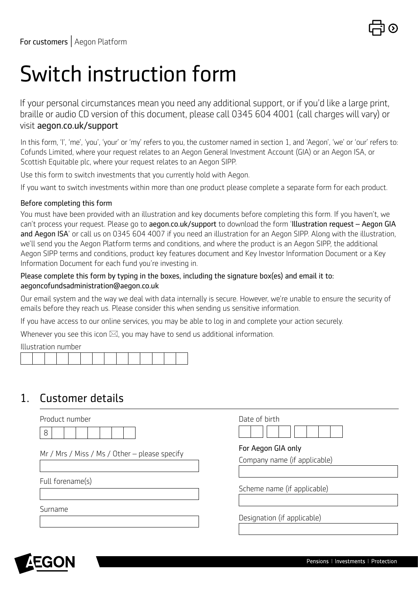

# Switch instruction form

If your personal circumstances mean you need any additional support, or if you'd like a large print, braille or audio CD version of this document, please call 0345 604 4001 (call charges will vary) or visit [aegon.co.uk/support](http://aegon.co.uk/support ) 

In this form, 'I', 'me', 'you', 'your' or 'my' refers to you, the customer named in section 1, and 'Aegon', 'we' or 'our' refers to: Cofunds Limited, where your request relates to an Aegon General Investment Account (GIA) or an Aegon ISA, or Scottish Equitable plc, where your request relates to an Aegon SIPP.

Use this form to switch investments that you currently hold with Aegon.

If you want to switch investments within more than one product please complete a separate form for each product.

#### Before completing this form

You must have been provided with an illustration and key documents before completing this form. If you haven't, we can't process your request. Please go to [aegon.co.uk/support](http://aegon.co.uk/support) to download the form 'Illustration request – Aegon GIA and Aegon ISA' or call us on 0345 604 4007 if you need an illustration for an Aegon SIPP. Along with the illustration, we'll send you the Aegon Platform terms and conditions, and where the product is an Aegon SIPP, the additional Aegon SIPP terms and conditions, product key features document and Key Investor Information Document or a Key Information Document for each fund you're investing in.

#### Please complete this form by typing in the boxes, including the signature box(es) and email it to: [aegoncofundsadministration@aegon.co.uk](mailto:aegoncofundsadministration%40aegon.co.uk?subject=)

Our email system and the way we deal with data internally is secure. However, we're unable to ensure the security of emails before they reach us. Please consider this when sending us sensitive information.

If you have access to our online services, you may be able to log in and complete your action securely.

Whenever you see this icon  $\boxtimes$ , you may have to send us additional information.

Illustration number

## 1. Customer details

| Product number                                | Date of birth                |
|-----------------------------------------------|------------------------------|
| 8                                             |                              |
| Mr / Mrs / Miss / Ms / Other – please specify | For Aegon GIA only           |
|                                               | Company name (if applicable) |
|                                               |                              |
| Full forename(s)                              | Scheme name (if applicable)  |
| Surname                                       |                              |
|                                               | Designation (if applicable)  |
|                                               |                              |

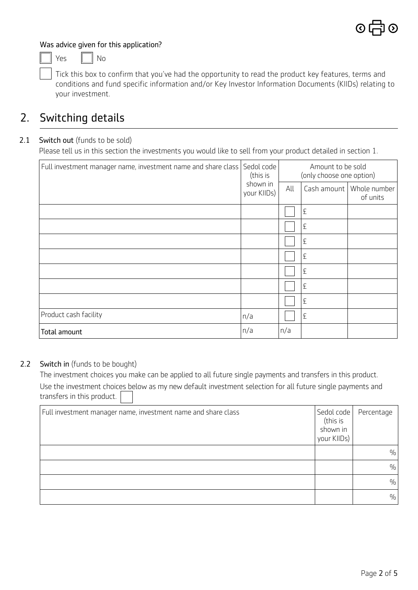#### Was advice given for this application?

 $Yes \t No$ 

Tick this box to confirm that you've had the opportunity to read the product key features, terms and conditions and fund specific information and/or Key Investor Information Documents (KIIDs) relating to your investment.

## 2. Switching details

#### 2.1 Switch out (funds to be sold)

Please tell us in this section the investments you would like to sell from your product detailed in section 1.

| Full investment manager name, investment name and share class | Sedol code<br>(this is  | Amount to be sold<br>(only choose one option) |             |                          |  |
|---------------------------------------------------------------|-------------------------|-----------------------------------------------|-------------|--------------------------|--|
|                                                               | shown in<br>your KIIDs) | All                                           | Cash amount | Whole number<br>of units |  |
|                                                               |                         |                                               | £           |                          |  |
|                                                               |                         |                                               | £           |                          |  |
|                                                               |                         |                                               | £           |                          |  |
|                                                               |                         |                                               | £           |                          |  |
|                                                               |                         |                                               | £           |                          |  |
|                                                               |                         |                                               | £           |                          |  |
|                                                               |                         |                                               | £           |                          |  |
| Product cash facility                                         | n/a                     |                                               | £           |                          |  |
| Total amount                                                  | n/a                     | n/a                                           |             |                          |  |

#### 2.2 Switch in (funds to be bought)

The investment choices you make can be applied to all future single payments and transfers in this product. Use the investment choices below as my new default investment selection for all future single payments and transfers in this product.

| Full investment manager name, investment name and share class | Sedol code<br>(this is<br>shown in<br>your KIIDs) | Percentage    |
|---------------------------------------------------------------|---------------------------------------------------|---------------|
|                                                               |                                                   | $\frac{0}{0}$ |
|                                                               |                                                   | $\frac{0}{0}$ |
|                                                               |                                                   | $\frac{0}{0}$ |
|                                                               |                                                   | $\frac{0}{0}$ |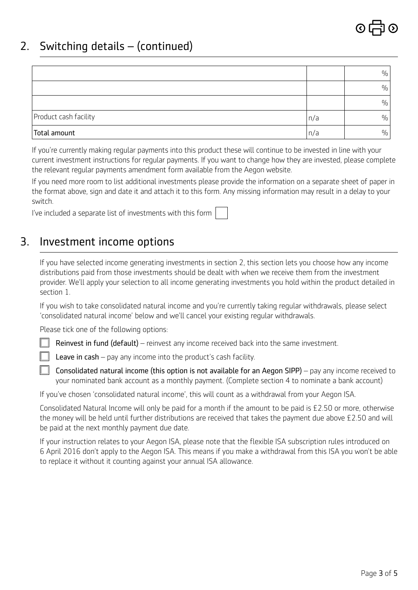## 2. Switching details – (continued)

|                       |     | $\%$          |
|-----------------------|-----|---------------|
|                       |     | $\%$          |
|                       |     | $\frac{0}{0}$ |
| Product cash facility | n/a | $\frac{0}{0}$ |
| Total amount          | n/a | $\frac{0}{0}$ |

If you're currently making regular payments into this product these will continue to be invested in line with your current investment instructions for regular payments. If you want to change how they are invested, please complete the relevant regular payments amendment form available from the Aegon website.

If you need more room to list additional investments please provide the information on a separate sheet of paper in the format above, sign and date it and attach it to this form. Any missing information may result in a delay to your switch.

I've included a separate list of investments with this form

### 3. Investment income options

If you have selected income generating investments in section 2, this section lets you choose how any income distributions paid from those investments should be dealt with when we receive them from the investment provider. We'll apply your selection to all income generating investments you hold within the product detailed in section 1.

If you wish to take consolidated natural income and you're currently taking regular withdrawals, please select 'consolidated natural income' below and we'll cancel your existing regular withdrawals.

Please tick one of the following options:

Reinvest in fund (default) – reinvest any income received back into the same investment.

Leave in cash – pay any income into the product's cash facility.

**Consolidated natural income (this option is not available for an Aegon SIPP)** – pay any income received to your nominated bank account as a monthly payment. (Complete section 4 to nominate a bank account)

If you've chosen 'consolidated natural income', this will count as a withdrawal from your Aegon ISA.

Consolidated Natural Income will only be paid for a month if the amount to be paid is £2.50 or more, otherwise the money will be held until further distributions are received that takes the payment due above £2.50 and will be paid at the next monthly payment due date.

If your instruction relates to your Aegon ISA, please note that the flexible ISA subscription rules introduced on 6 April 2016 don't apply to the Aegon ISA. This means if you make a withdrawal from this ISA you won't be able to replace it without it counting against your annual ISA allowance.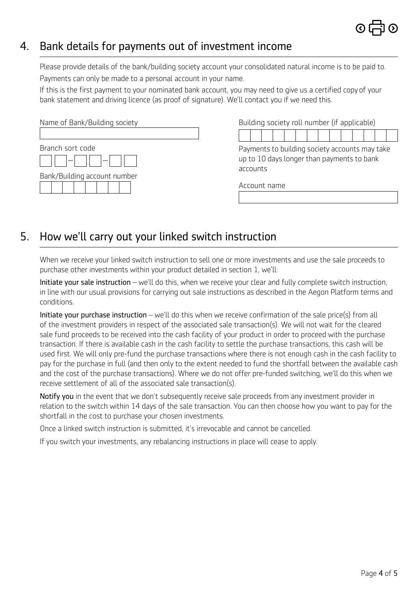

## 4. Bank details for payments out of investment income

Please provide details of the bank/building society account your consolidated natural income is to be paid to. Payments can only be made to a personal account in your name.

If this is the first payment to your nominated bank account, you may need to give us a certified copy of your bank statement and driving licence (as proof of signature). We'll contact you if we need this.

| Name of Bank/Building society |  |  |  |  |  |  |
|-------------------------------|--|--|--|--|--|--|
| Branch sort code              |  |  |  |  |  |  |
| Bank/Building account number  |  |  |  |  |  |  |

Building society roll number (if applicable)

Payments to building society accounts may take up to 10 days longer than payments to bank accounts

Account name

## 5. How we'll carry out your linked switch instruction

When we receive your linked switch instruction to sell one or more investments and use the sale proceeds to purchase other investments within your product detailed in section 1, we'll:

Initiate your sale instruction – we'll do this, when we receive your clear and fully complete switch instruction, in line with our usual provisions for carrying out sale instructions as described in the Aegon Platform terms and conditions.

Initiate your purchase instruction – we'll do this when we receive confirmation of the sale price(s) from all of the investment providers in respect of the associated sale transaction(s). We will not wait for the cleared sale fund proceeds to be received into the cash facility of your product in order to proceed with the purchase transaction. If there is available cash in the cash facility to settle the purchase transactions, this cash will be used first. We will only pre-fund the purchase transactions where there is not enough cash in the cash facility to pay for the purchase in full (and then only to the extent needed to fund the shortfall between the available cash and the cost of the purchase transactions). Where we do not offer pre-funded switching, we'll do this when we receive settlement of all of the associated sale transaction(s).

Notify you in the event that we don't subsequently receive sale proceeds from any investment provider in relation to the switch within 14 days of the sale transaction. You can then choose how you want to pay for the shortfall in the cost to purchase your chosen investments.

Once a linked switch instruction is submitted, it's irrevocable and cannot be cancelled.

If you switch your investments, any rebalancing instructions in place will cease to apply.